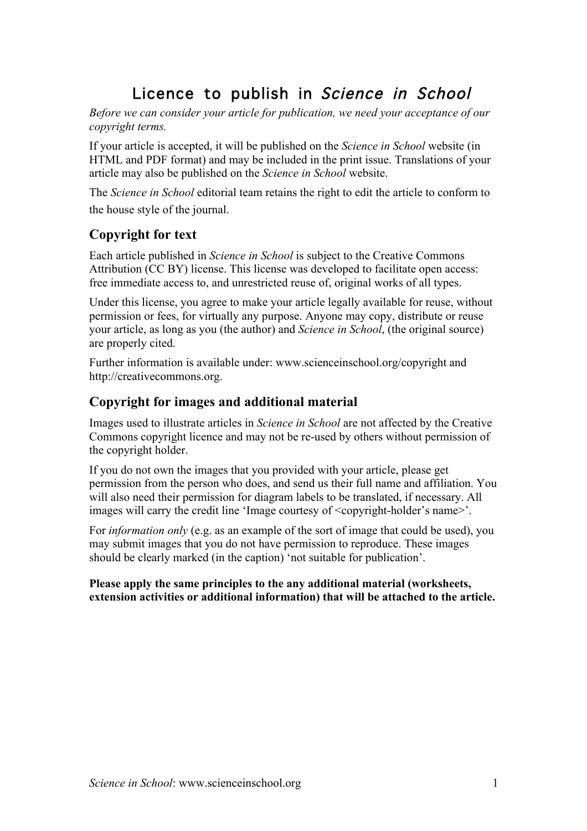# Licence to publish in Science in School

*Before we can consider your article for publication, we need your acceptance of our copyright terms.* 

If your article is accepted, it will be published on the *Science in School* website (in HTML and PDF format) and may be included in the print issue. Translations of your article may also be published on the *Science in School* website.

The *Science in School* editorial team retains the right to edit the article to conform to the house style of the journal.

## **Copyright for text**

Each article published in *Science in School* is subject to the Creative Commons Attribution (CC BY) license. This license was developed to facilitate open access: free immediate access to, and unrestricted reuse of, original works of all types.

Under this license, you agree to make your article legally available for reuse, without permission or fees, for virtually any purpose. Anyone may copy, distribute or reuse your article, as long as you (the author) and *Science in School*, (the original source) are properly cited.

Further information is available under: www.scienceinschool.org/copyright and http://creativecommons.org.

## **Copyright for images and additional material**

Images used to illustrate articles in *Science in School* are not affected by the Creative Commons copyright licence and may not be re-used by others without permission of the copyright holder.

If you do not own the images that you provided with your article, please get permission from the person who does, and send us their full name and affiliation. You will also need their permission for diagram labels to be translated, if necessary. All images will carry the credit line 'Image courtesy of  $\leq$ copyright-holder's name>'.

For *information only* (e.g. as an example of the sort of image that could be used), you may submit images that you do not have permission to reproduce. These images should be clearly marked (in the caption) 'not suitable for publication'.

#### **Please apply the same principles to the any additional material (worksheets, extension activities or additional information) that will be attached to the article.**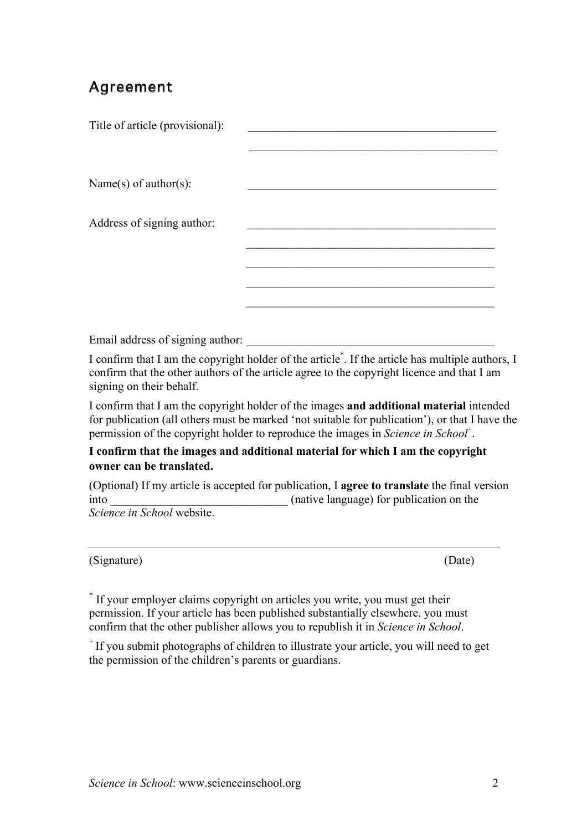## Agreement

| Title of article (provisional): |  |
|---------------------------------|--|
|                                 |  |
|                                 |  |
| Name $(s)$ of author $(s)$ :    |  |
|                                 |  |
| Address of signing author:      |  |
|                                 |  |
|                                 |  |
|                                 |  |
|                                 |  |

Email address of signing author:

I confirm that I am the copyright holder of the article<sup>\*</sup>. If the article has multiple authors, I confirm that the other authors of the article agree to the copyright licence and that I am signing on their behalf.

I confirm that I am the copyright holder of the images **and additional material** intended for publication (all others must be marked 'not suitable for publication'), or that I have the permission of the copyright holder to reproduce the images in *Science in School*<sup>+</sup>.

### **I confirm that the images and additional material for which I am the copyright owner can be translated.**

(Optional) If my article is accepted for publication, I **agree to translate** the final version into  $($ native language) for publication on the *Science in School* website.

(Signature) (Date)

\* If your employer claims copyright on articles you write, you must get their permission. If your article has been published substantially elsewhere, you must confirm that the other publisher allows you to republish it in *Science in School*.

<sup>+</sup> If you submit photographs of children to illustrate your article, you will need to get the permission of the children's parents or guardians.